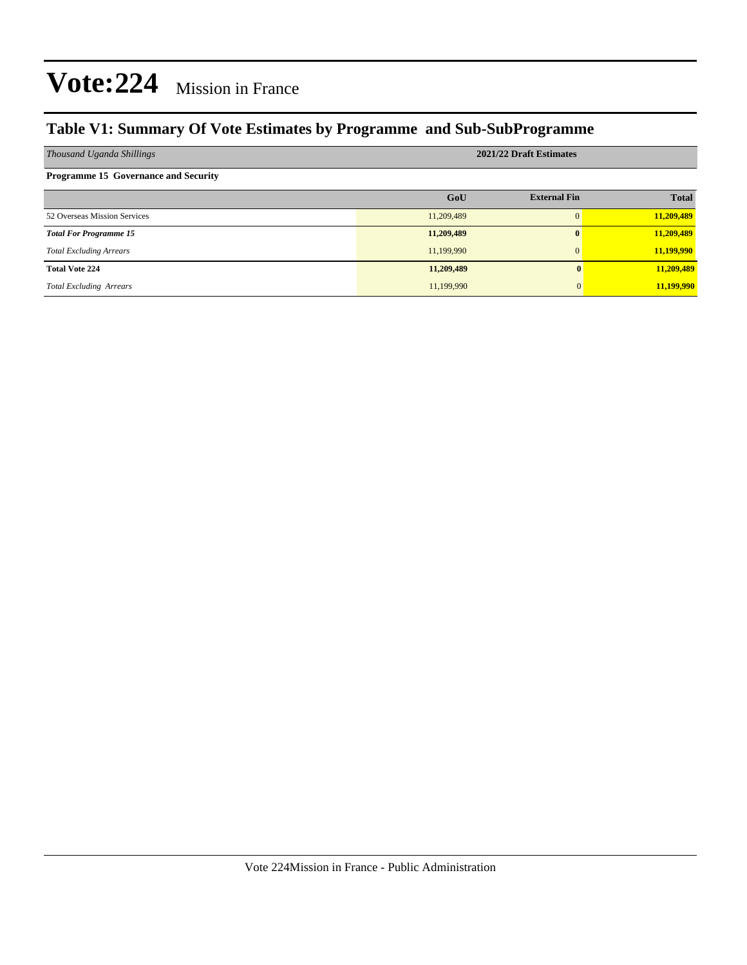#### **Table V1: Summary Of Vote Estimates by Programme and Sub-SubProgramme**

| Thousand Uganda Shillings                   | 2021/22 Draft Estimates |                     |              |  |  |  |  |  |
|---------------------------------------------|-------------------------|---------------------|--------------|--|--|--|--|--|
| <b>Programme 15 Governance and Security</b> |                         |                     |              |  |  |  |  |  |
|                                             | GoU                     | <b>External Fin</b> | <b>Total</b> |  |  |  |  |  |
| 52 Overseas Mission Services                | 11,209,489              | $\Omega$            | 11,209,489   |  |  |  |  |  |
| <b>Total For Programme 15</b>               | 11,209,489              | $\bf{0}$            | 11,209,489   |  |  |  |  |  |
| <b>Total Excluding Arrears</b>              | 11,199,990              | $\Omega$            | 11,199,990   |  |  |  |  |  |
| <b>Total Vote 224</b>                       | 11,209,489              |                     | 11,209,489   |  |  |  |  |  |
| <b>Total Excluding Arrears</b>              | 11,199,990              |                     | 11,199,990   |  |  |  |  |  |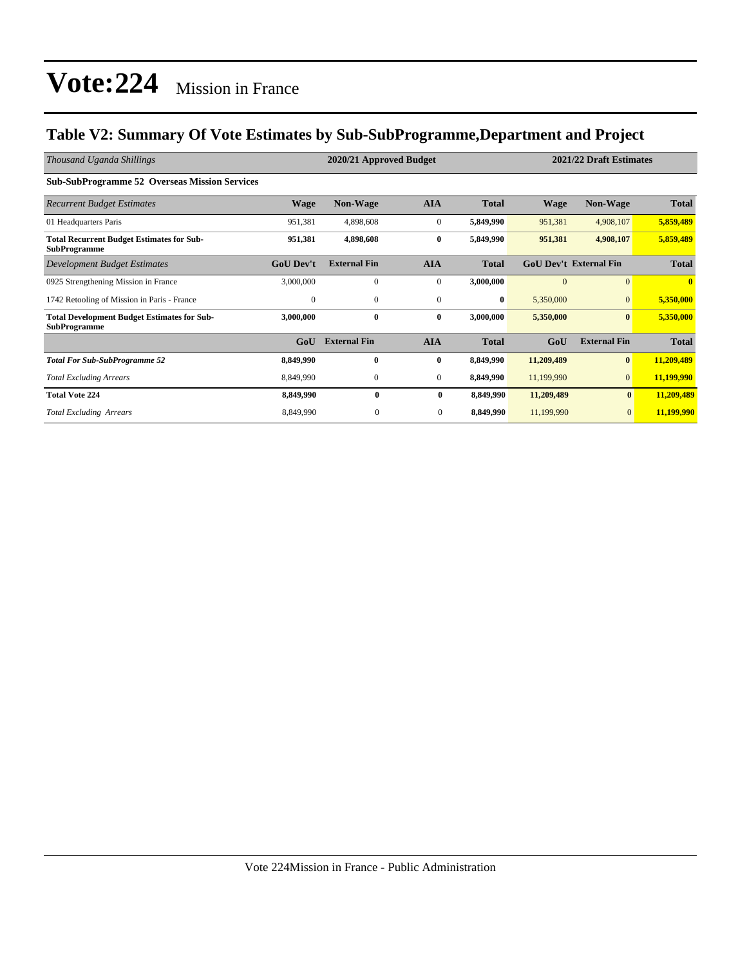#### **Table V2: Summary Of Vote Estimates by Sub-SubProgramme,Department and Project**

| Thousand Uganda Shillings                                                 | 2021/22 Draft Estimates<br>2020/21 Approved Budget |                     |                  |              |              |                               |              |
|---------------------------------------------------------------------------|----------------------------------------------------|---------------------|------------------|--------------|--------------|-------------------------------|--------------|
| <b>Sub-SubProgramme 52 Overseas Mission Services</b>                      |                                                    |                     |                  |              |              |                               |              |
| <b>Recurrent Budget Estimates</b>                                         | <b>Wage</b>                                        | <b>Non-Wage</b>     | <b>AIA</b>       | <b>Total</b> | <b>Wage</b>  | <b>Non-Wage</b>               | <b>Total</b> |
| 01 Headquarters Paris                                                     | 951,381                                            | 4,898,608           | $\mathbf{0}$     | 5,849,990    | 951,381      | 4,908,107                     | 5,859,489    |
| <b>Total Recurrent Budget Estimates for Sub-</b><br><b>SubProgramme</b>   | 951,381                                            | 4,898,608           | $\bf{0}$         | 5,849,990    | 951,381      | 4,908,107                     | 5,859,489    |
| <b>Development Budget Estimates</b>                                       | <b>GoU Dev't</b>                                   | <b>External Fin</b> | <b>AIA</b>       | <b>Total</b> |              | <b>GoU Dev't External Fin</b> | <b>Total</b> |
| 0925 Strengthening Mission in France                                      | 3,000,000                                          | $\mathbf{0}$        | $\overline{0}$   | 3,000,000    | $\mathbf{0}$ | $\Omega$                      | $\mathbf{0}$ |
| 1742 Retooling of Mission in Paris - France                               | $\mathbf{0}$                                       | $\mathbf{0}$        | $\mathbf{0}$     | $\bf{0}$     | 5,350,000    | $\Omega$                      | 5,350,000    |
| <b>Total Development Budget Estimates for Sub-</b><br><b>SubProgramme</b> | 3,000,000                                          | $\bf{0}$            | $\bf{0}$         | 3,000,000    | 5,350,000    | $\bf{0}$                      | 5,350,000    |
|                                                                           | GoU                                                | <b>External Fin</b> | <b>AIA</b>       | <b>Total</b> | GoU          | <b>External Fin</b>           | <b>Total</b> |
| <b>Total For Sub-SubProgramme 52</b>                                      | 8,849,990                                          | $\bf{0}$            | $\bf{0}$         | 8,849,990    | 11,209,489   | $\bf{0}$                      | 11,209,489   |
| <b>Total Excluding Arrears</b>                                            | 8,849,990                                          | $\boldsymbol{0}$    | $\boldsymbol{0}$ | 8,849,990    | 11,199,990   | $\mathbf{0}$                  | 11,199,990   |
| <b>Total Vote 224</b>                                                     | 8,849,990                                          | $\bf{0}$            | $\bf{0}$         | 8,849,990    | 11,209,489   | $\bf{0}$                      | 11,209,489   |
| <b>Total Excluding Arrears</b>                                            | 8,849,990                                          | $\mathbf{0}$        | $\mathbf{0}$     | 8,849,990    | 11,199,990   | $\mathbf{0}$                  | 11,199,990   |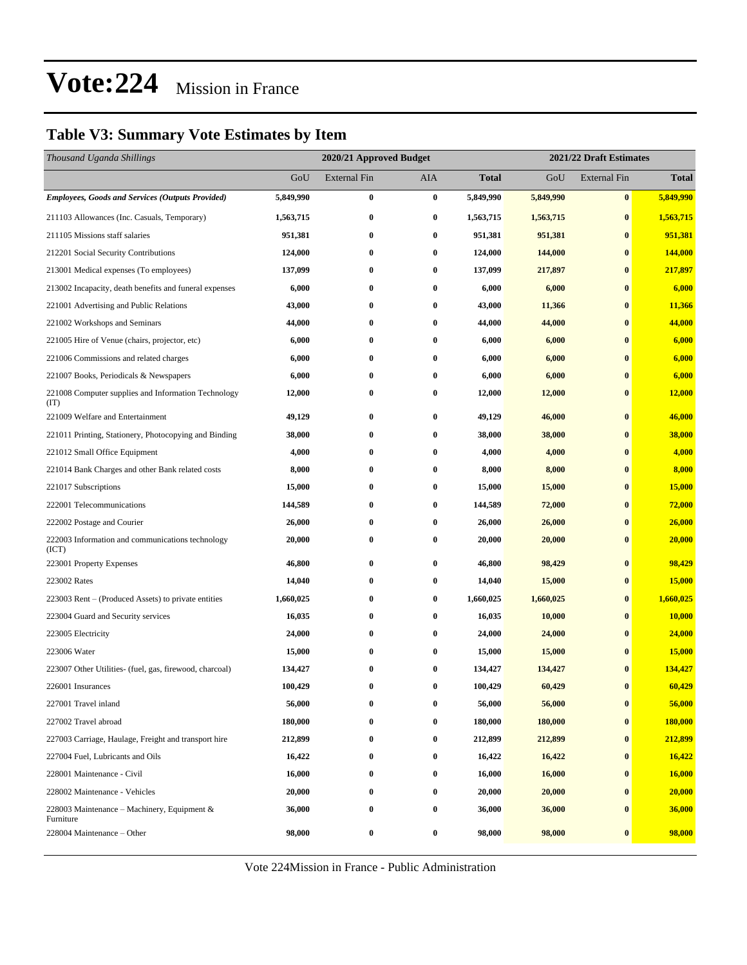#### **Table V3: Summary Vote Estimates by Item**

| Thousand Uganda Shillings                                   |           | 2020/21 Approved Budget |                  |              |           | 2021/22 Draft Estimates |               |  |  |
|-------------------------------------------------------------|-----------|-------------------------|------------------|--------------|-----------|-------------------------|---------------|--|--|
|                                                             | GoU       | <b>External Fin</b>     | AIA              | <b>Total</b> | GoU       | <b>External Fin</b>     | <b>Total</b>  |  |  |
| <b>Employees, Goods and Services (Outputs Provided)</b>     | 5,849,990 | $\bf{0}$                | $\bf{0}$         | 5,849,990    | 5,849,990 | $\bf{0}$                | 5,849,990     |  |  |
| 211103 Allowances (Inc. Casuals, Temporary)                 | 1,563,715 | $\boldsymbol{0}$        | 0                | 1,563,715    | 1,563,715 | $\bf{0}$                | 1,563,715     |  |  |
| 211105 Missions staff salaries                              | 951,381   | $\bf{0}$                | $\bf{0}$         | 951,381      | 951,381   | $\bf{0}$                | 951,381       |  |  |
| 212201 Social Security Contributions                        | 124,000   | $\bf{0}$                | $\bf{0}$         | 124,000      | 144,000   | $\bf{0}$                | 144,000       |  |  |
| 213001 Medical expenses (To employees)                      | 137,099   | $\bf{0}$                | 0                | 137,099      | 217,897   | $\bf{0}$                | 217,897       |  |  |
| 213002 Incapacity, death benefits and funeral expenses      | 6,000     | $\bf{0}$                | $\bf{0}$         | 6,000        | 6,000     | $\bf{0}$                | 6,000         |  |  |
| 221001 Advertising and Public Relations                     | 43,000    | $\bf{0}$                | 0                | 43,000       | 11,366    | $\bf{0}$                | 11,366        |  |  |
| 221002 Workshops and Seminars                               | 44,000    | $\bf{0}$                | $\bf{0}$         | 44,000       | 44,000    | $\bf{0}$                | 44,000        |  |  |
| 221005 Hire of Venue (chairs, projector, etc)               | 6,000     | $\bf{0}$                | $\bf{0}$         | 6,000        | 6,000     | $\bf{0}$                | 6,000         |  |  |
| 221006 Commissions and related charges                      | 6,000     | $\bf{0}$                | 0                | 6,000        | 6,000     | $\bf{0}$                | 6,000         |  |  |
| 221007 Books, Periodicals & Newspapers                      | 6,000     | $\bf{0}$                | $\bf{0}$         | 6,000        | 6,000     | $\bf{0}$                | 6,000         |  |  |
| 221008 Computer supplies and Information Technology<br>(TT) | 12,000    | $\bf{0}$                | 0                | 12,000       | 12,000    | $\bf{0}$                | 12,000        |  |  |
| 221009 Welfare and Entertainment                            | 49,129    | $\bf{0}$                | $\bf{0}$         | 49,129       | 46,000    | $\bf{0}$                | 46,000        |  |  |
| 221011 Printing, Stationery, Photocopying and Binding       | 38,000    | $\bf{0}$                | $\bf{0}$         | 38,000       | 38,000    | $\bf{0}$                | 38,000        |  |  |
| 221012 Small Office Equipment                               | 4,000     | $\bf{0}$                | $\bf{0}$         | 4,000        | 4,000     | $\bf{0}$                | 4,000         |  |  |
| 221014 Bank Charges and other Bank related costs            | 8,000     | $\bf{0}$                | 0                | 8,000        | 8,000     | $\bf{0}$                | 8,000         |  |  |
| 221017 Subscriptions                                        | 15,000    | $\bf{0}$                | $\bf{0}$         | 15,000       | 15,000    | $\bf{0}$                | 15,000        |  |  |
| 222001 Telecommunications                                   | 144,589   | $\bf{0}$                | 0                | 144,589      | 72,000    | $\bf{0}$                | <b>72,000</b> |  |  |
| 222002 Postage and Courier                                  | 26,000    | $\bf{0}$                | $\bf{0}$         | 26,000       | 26,000    | $\bf{0}$                | 26,000        |  |  |
| 222003 Information and communications technology<br>(ICT)   | 20,000    | $\bf{0}$                | $\bf{0}$         | 20,000       | 20,000    | $\bf{0}$                | 20,000        |  |  |
| 223001 Property Expenses                                    | 46,800    | $\bf{0}$                | $\bf{0}$         | 46,800       | 98,429    | $\bf{0}$                | 98,429        |  |  |
| 223002 Rates                                                | 14,040    | $\bf{0}$                | $\bf{0}$         | 14,040       | 15,000    | $\bf{0}$                | 15,000        |  |  |
| 223003 Rent – (Produced Assets) to private entities         | 1,660,025 | $\bf{0}$                | $\bf{0}$         | 1,660,025    | 1,660,025 | $\bf{0}$                | 1,660,025     |  |  |
| 223004 Guard and Security services                          | 16,035    | $\bf{0}$                | $\bf{0}$         | 16,035       | 10,000    | $\bf{0}$                | 10,000        |  |  |
| 223005 Electricity                                          | 24,000    | $\bf{0}$                | $\bf{0}$         | 24,000       | 24,000    | $\bf{0}$                | 24,000        |  |  |
| 223006 Water                                                | 15,000    | $\bf{0}$                | $\bf{0}$         | 15,000       | 15,000    | $\bf{0}$                | 15,000        |  |  |
| 223007 Other Utilities- (fuel, gas, firewood, charcoal)     | 134,427   | $\bf{0}$                | $\bf{0}$         | 134,427      | 134,427   | $\mathbf{0}$            | 134,427       |  |  |
| 226001 Insurances                                           | 100,429   | $\bf{0}$                | $\bf{0}$         | 100,429      | 60,429    | $\bf{0}$                | 60,429        |  |  |
| 227001 Travel inland                                        | 56,000    | $\bf{0}$                | $\bf{0}$         | 56,000       | 56,000    | $\bf{0}$                | 56,000        |  |  |
| 227002 Travel abroad                                        | 180,000   | $\bf{0}$                | 0                | 180,000      | 180,000   | $\bf{0}$                | 180,000       |  |  |
| 227003 Carriage, Haulage, Freight and transport hire        | 212,899   | $\bf{0}$                | $\boldsymbol{0}$ | 212,899      | 212,899   | $\bf{0}$                | 212,899       |  |  |
| 227004 Fuel, Lubricants and Oils                            | 16,422    | $\bf{0}$                | $\bf{0}$         | 16,422       | 16,422    | $\bf{0}$                | 16,422        |  |  |
| 228001 Maintenance - Civil                                  | 16,000    | $\bf{0}$                | $\boldsymbol{0}$ | 16,000       | 16,000    | $\bf{0}$                | 16,000        |  |  |
| 228002 Maintenance - Vehicles                               | 20,000    | $\bf{0}$                | 0                | 20,000       | 20,000    | $\bf{0}$                | 20,000        |  |  |
| 228003 Maintenance – Machinery, Equipment &<br>Furniture    | 36,000    | $\bf{0}$                | 0                | 36,000       | 36,000    | $\bf{0}$                | 36,000        |  |  |
| 228004 Maintenance – Other                                  | 98,000    | $\bf{0}$                | $\bf{0}$         | 98,000       | 98,000    | $\bf{0}$                | 98,000        |  |  |

Vote 224Mission in France - Public Administration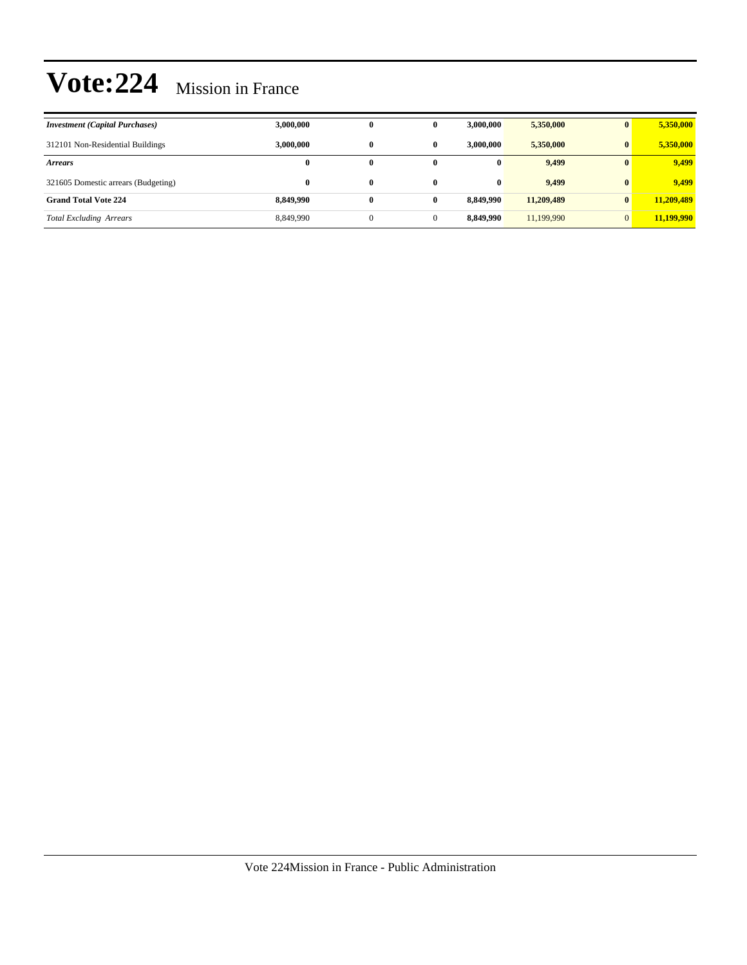| <b>Investment</b> (Capital Purchases) | 3,000,000 | 0        | 0            | 3,000,000 | 5,350,000  | $\mathbf{0}$ | 5,350,000  |
|---------------------------------------|-----------|----------|--------------|-----------|------------|--------------|------------|
| 312101 Non-Residential Buildings      | 3,000,000 | $\bf{0}$ | $\bf{0}$     | 3,000,000 | 5,350,000  | $\bf{0}$     | 5,350,000  |
| <b>Arrears</b>                        | $\bf{0}$  | 0        | 0            | $\bf{0}$  | 9,499      | $\mathbf{0}$ | 9,499      |
| 321605 Domestic arrears (Budgeting)   | $\bf{0}$  | $\bf{0}$ | $\mathbf{0}$ | 0         | 9,499      | $\mathbf{0}$ | 9.499      |
| <b>Grand Total Vote 224</b>           | 8.849.990 | $\bf{0}$ | 0            | 8,849,990 | 11,209,489 | $\mathbf{0}$ | 11,209,489 |
| <b>Total Excluding Arrears</b>        | 8,849,990 |          | $\Omega$     | 8,849,990 | 11,199,990 | $\Omega$     | 11,199,990 |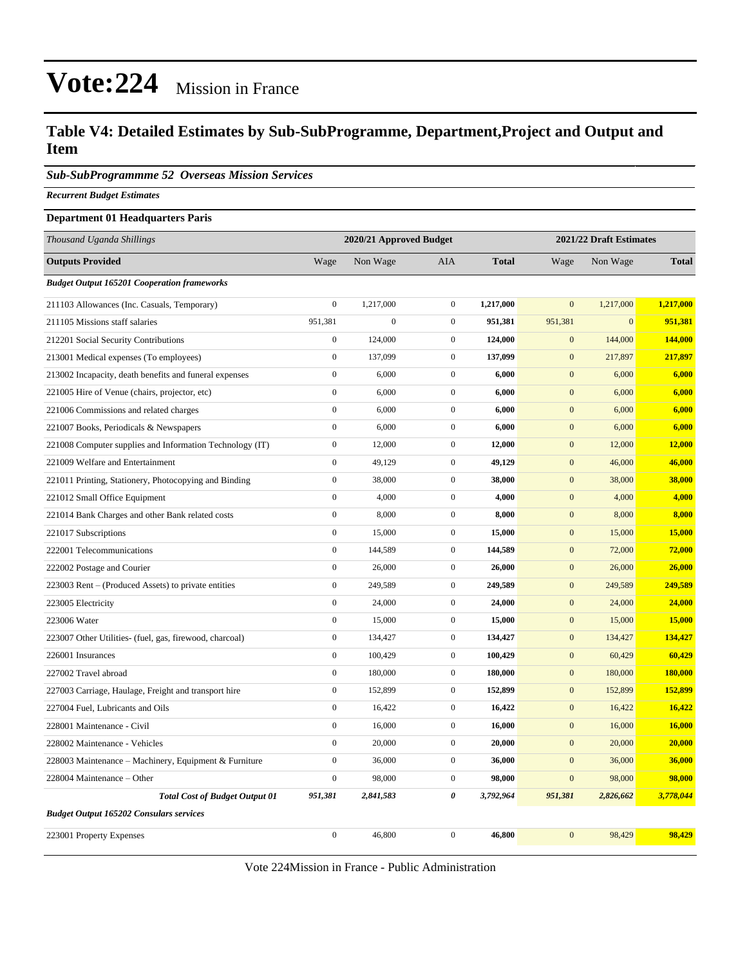#### **Table V4: Detailed Estimates by Sub-SubProgramme, Department,Project and Output and Item**

*Sub-SubProgrammme 52 Overseas Mission Services*

*Recurrent Budget Estimates*

#### **Department 01 Headquarters Paris**

| Thousand Uganda Shillings                                | 2020/21 Approved Budget |                  |                  | 2021/22 Draft Estimates |                  |                  |              |
|----------------------------------------------------------|-------------------------|------------------|------------------|-------------------------|------------------|------------------|--------------|
| <b>Outputs Provided</b>                                  | Wage                    | Non Wage         | AIA              | <b>Total</b>            | Wage             | Non Wage         | <b>Total</b> |
| <b>Budget Output 165201 Cooperation frameworks</b>       |                         |                  |                  |                         |                  |                  |              |
| 211103 Allowances (Inc. Casuals, Temporary)              | $\boldsymbol{0}$        | 1,217,000        | $\boldsymbol{0}$ | 1,217,000               | $\mathbf{0}$     | 1,217,000        | 1,217,000    |
| 211105 Missions staff salaries                           | 951,381                 | $\boldsymbol{0}$ | $\overline{0}$   | 951,381                 | 951,381          | $\boldsymbol{0}$ | 951,381      |
| 212201 Social Security Contributions                     | $\mathbf{0}$            | 124,000          | $\overline{0}$   | 124,000                 | $\mathbf{0}$     | 144,000          | 144,000      |
| 213001 Medical expenses (To employees)                   | $\boldsymbol{0}$        | 137,099          | $\overline{0}$   | 137,099                 | $\mathbf{0}$     | 217,897          | 217,897      |
| 213002 Incapacity, death benefits and funeral expenses   | $\boldsymbol{0}$        | 6,000            | $\overline{0}$   | 6,000                   | $\mathbf{0}$     | 6,000            | 6,000        |
| 221005 Hire of Venue (chairs, projector, etc)            | $\mathbf{0}$            | 6,000            | $\overline{0}$   | 6,000                   | $\mathbf{0}$     | 6,000            | 6,000        |
| 221006 Commissions and related charges                   | $\boldsymbol{0}$        | 6,000            | $\boldsymbol{0}$ | 6,000                   | $\mathbf{0}$     | 6,000            | 6,000        |
| 221007 Books, Periodicals & Newspapers                   | $\boldsymbol{0}$        | 6,000            | $\overline{0}$   | 6,000                   | $\mathbf{0}$     | 6,000            | 6,000        |
| 221008 Computer supplies and Information Technology (IT) | $\boldsymbol{0}$        | 12,000           | $\overline{0}$   | 12,000                  | $\boldsymbol{0}$ | 12,000           | 12,000       |
| 221009 Welfare and Entertainment                         | $\boldsymbol{0}$        | 49,129           | $\boldsymbol{0}$ | 49,129                  | $\mathbf{0}$     | 46,000           | 46,000       |
| 221011 Printing, Stationery, Photocopying and Binding    | $\boldsymbol{0}$        | 38,000           | $\boldsymbol{0}$ | 38,000                  | $\boldsymbol{0}$ | 38,000           | 38,000       |
| 221012 Small Office Equipment                            | $\overline{0}$          | 4,000            | $\boldsymbol{0}$ | 4,000                   | $\mathbf{0}$     | 4,000            | 4,000        |
| 221014 Bank Charges and other Bank related costs         | $\boldsymbol{0}$        | 8,000            | $\overline{0}$   | 8,000                   | $\boldsymbol{0}$ | 8,000            | 8,000        |
| 221017 Subscriptions                                     | $\boldsymbol{0}$        | 15,000           | $\boldsymbol{0}$ | 15,000                  | $\boldsymbol{0}$ | 15,000           | 15,000       |
| 222001 Telecommunications                                | $\mathbf{0}$            | 144,589          | $\overline{0}$   | 144,589                 | $\mathbf{0}$     | 72,000           | 72,000       |
| 222002 Postage and Courier                               | $\boldsymbol{0}$        | 26,000           | $\boldsymbol{0}$ | 26,000                  | $\boldsymbol{0}$ | 26,000           | 26,000       |
| 223003 Rent – (Produced Assets) to private entities      | $\overline{0}$          | 249,589          | $\overline{0}$   | 249,589                 | $\mathbf{0}$     | 249,589          | 249,589      |
| 223005 Electricity                                       | $\boldsymbol{0}$        | 24,000           | $\overline{0}$   | 24,000                  | $\boldsymbol{0}$ | 24,000           | 24,000       |
| 223006 Water                                             | $\boldsymbol{0}$        | 15,000           | $\boldsymbol{0}$ | 15,000                  | $\mathbf{0}$     | 15,000           | 15,000       |
| 223007 Other Utilities- (fuel, gas, firewood, charcoal)  | $\boldsymbol{0}$        | 134,427          | $\overline{0}$   | 134,427                 | $\boldsymbol{0}$ | 134,427          | 134,427      |
| 226001 Insurances                                        | $\boldsymbol{0}$        | 100,429          | $\overline{0}$   | 100,429                 | $\mathbf{0}$     | 60,429           | 60,429       |
| 227002 Travel abroad                                     | $\boldsymbol{0}$        | 180,000          | $\overline{0}$   | 180,000                 | $\mathbf{0}$     | 180,000          | 180,000      |
| 227003 Carriage, Haulage, Freight and transport hire     | $\boldsymbol{0}$        | 152,899          | $\overline{0}$   | 152,899                 | $\mathbf{0}$     | 152,899          | 152,899      |
| 227004 Fuel, Lubricants and Oils                         | $\mathbf{0}$            | 16,422           | $\overline{0}$   | 16,422                  | $\mathbf{0}$     | 16,422           | 16,422       |
| 228001 Maintenance - Civil                               | $\boldsymbol{0}$        | 16,000           | $\boldsymbol{0}$ | 16,000                  | $\boldsymbol{0}$ | 16,000           | 16,000       |
| 228002 Maintenance - Vehicles                            | $\overline{0}$          | 20,000           | $\boldsymbol{0}$ | 20,000                  | $\boldsymbol{0}$ | 20,000           | 20,000       |
| 228003 Maintenance – Machinery, Equipment & Furniture    | $\boldsymbol{0}$        | 36,000           | $\overline{0}$   | 36,000                  | $\boldsymbol{0}$ | 36,000           | 36,000       |
| 228004 Maintenance - Other                               | $\boldsymbol{0}$        | 98,000           | $\boldsymbol{0}$ | 98,000                  | $\boldsymbol{0}$ | 98,000           | 98,000       |
| <b>Total Cost of Budget Output 01</b>                    | 951,381                 | 2,841,583        | 0                | 3,792,964               | 951,381          | 2,826,662        | 3,778,044    |
| <b>Budget Output 165202 Consulars services</b>           |                         |                  |                  |                         |                  |                  |              |
| 223001 Property Expenses                                 | $\mathbf{0}$            | 46,800           | $\overline{0}$   | 46,800                  | $\overline{0}$   | 98,429           | 98,429       |

Vote 224Mission in France - Public Administration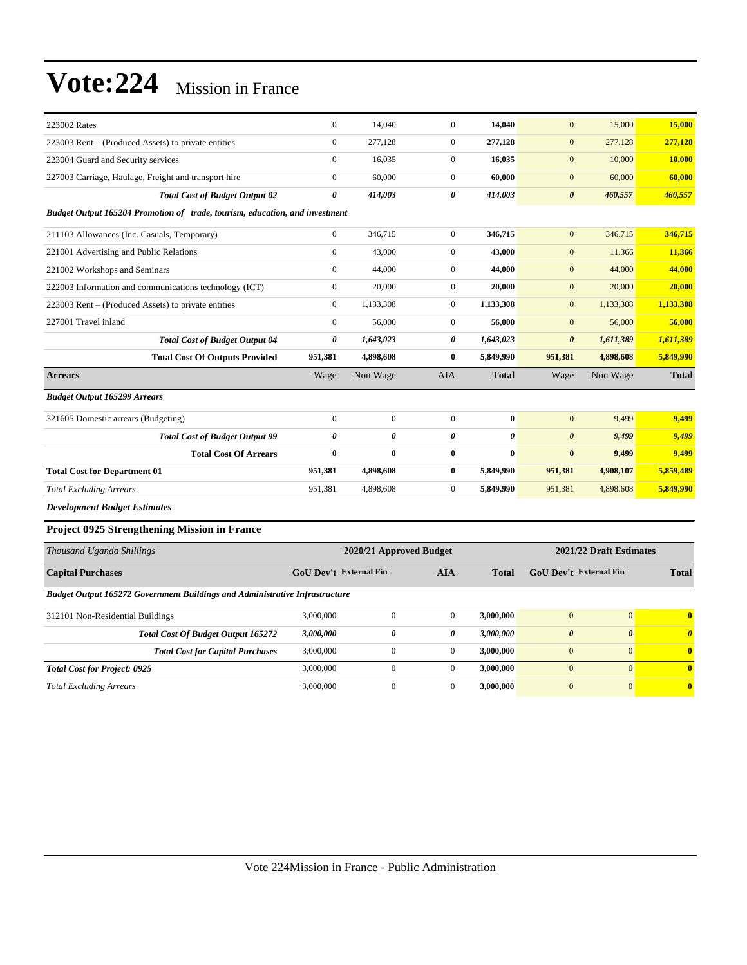| 223002 Rates                                                                | $\mathbf{0}$                  | 14,040           | $\mathbf{0}$          | 14,040                  | $\mathbf{0}$                  | 15,000                | 15,000                |  |  |
|-----------------------------------------------------------------------------|-------------------------------|------------------|-----------------------|-------------------------|-------------------------------|-----------------------|-----------------------|--|--|
| 223003 Rent – (Produced Assets) to private entities                         | $\mathbf{0}$                  | 277,128          | $\boldsymbol{0}$      | 277,128                 | $\mathbf{0}$                  | 277,128               | 277,128               |  |  |
| 223004 Guard and Security services                                          | $\boldsymbol{0}$              | 16,035           | $\boldsymbol{0}$      | 16,035                  | $\mathbf{0}$                  | 10,000                | 10,000                |  |  |
| 227003 Carriage, Haulage, Freight and transport hire                        | $\mathbf{0}$                  | 60,000           | $\mathbf{0}$          | 60,000                  | $\mathbf{0}$                  | 60,000                | 60,000                |  |  |
| <b>Total Cost of Budget Output 02</b>                                       | $\boldsymbol{\theta}$         | 414,003          | 0                     | 414,003                 | $\boldsymbol{\theta}$         | 460,557               | 460,557               |  |  |
| Budget Output 165204 Promotion of trade, tourism, education, and investment |                               |                  |                       |                         |                               |                       |                       |  |  |
| 211103 Allowances (Inc. Casuals, Temporary)                                 | $\mathbf{0}$                  | 346,715          | $\mathbf{0}$          | 346,715                 | $\mathbf{0}$                  | 346,715               | 346,715               |  |  |
| 221001 Advertising and Public Relations                                     | $\mathbf{0}$                  | 43,000           | $\overline{0}$        | 43,000                  | $\mathbf{0}$                  | 11,366                | 11,366                |  |  |
| 221002 Workshops and Seminars                                               | $\boldsymbol{0}$              | 44,000           | $\boldsymbol{0}$      | 44,000                  | $\mathbf{0}$                  | 44,000                | 44,000                |  |  |
| 222003 Information and communications technology (ICT)                      | $\mathbf{0}$                  | 20,000           | $\overline{0}$        | 20,000                  | $\mathbf{0}$                  | 20,000                | 20,000                |  |  |
| 223003 Rent – (Produced Assets) to private entities                         | $\boldsymbol{0}$              | 1,133,308        | $\overline{0}$        | 1,133,308               | $\mathbf{0}$                  | 1,133,308             | 1,133,308             |  |  |
| 227001 Travel inland                                                        | $\boldsymbol{0}$              | 56,000           | $\overline{0}$        | 56,000                  | $\mathbf{0}$                  | 56,000                | 56,000                |  |  |
| <b>Total Cost of Budget Output 04</b>                                       | $\boldsymbol{\theta}$         | 1,643,023        | 0                     | 1,643,023               | $\boldsymbol{\theta}$         | 1,611,389             | 1,611,389             |  |  |
| <b>Total Cost Of Outputs Provided</b>                                       | 951,381                       | 4.898.608        | $\bf{0}$              | 5,849,990               | 951,381                       | 4,898,608             | 5,849,990             |  |  |
| <b>Arrears</b>                                                              | Wage                          | Non Wage         | <b>AIA</b>            | <b>Total</b>            | Wage                          | Non Wage              | <b>Total</b>          |  |  |
| <b>Budget Output 165299 Arrears</b>                                         |                               |                  |                       |                         |                               |                       |                       |  |  |
| 321605 Domestic arrears (Budgeting)                                         | $\boldsymbol{0}$              | $\boldsymbol{0}$ | $\mathbf{0}$          | $\bf{0}$                | $\mathbf{0}$                  | 9,499                 | 9,499                 |  |  |
| <b>Total Cost of Budget Output 99</b>                                       | $\theta$                      | 0                | $\theta$              | $\theta$                | $\boldsymbol{\theta}$         | 9,499                 | 9,499                 |  |  |
| <b>Total Cost Of Arrears</b>                                                | $\bf{0}$                      | $\bf{0}$         | $\bf{0}$              | $\bf{0}$                | $\bf{0}$                      | 9,499                 | 9,499                 |  |  |
| <b>Total Cost for Department 01</b>                                         | 951,381                       | 4,898,608        | $\bf{0}$              | 5,849,990               | 951,381                       | 4,908,107             | 5,859,489             |  |  |
| <b>Total Excluding Arrears</b>                                              | 951,381                       | 4,898,608        | $\boldsymbol{0}$      | 5,849,990               | 951,381                       | 4,898,608             | 5,849,990             |  |  |
| <b>Development Budget Estimates</b>                                         |                               |                  |                       |                         |                               |                       |                       |  |  |
| <b>Project 0925 Strengthening Mission in France</b>                         |                               |                  |                       |                         |                               |                       |                       |  |  |
| Thousand Uganda Shillings                                                   | 2020/21 Approved Budget       |                  |                       | 2021/22 Draft Estimates |                               |                       |                       |  |  |
| <b>Capital Purchases</b>                                                    | <b>GoU Dev't External Fin</b> |                  | <b>AIA</b>            | <b>Total</b>            | <b>GoU Dev't External Fin</b> |                       | <b>Total</b>          |  |  |
| Budget Output 165272 Government Buildings and Administrative Infrastructure |                               |                  |                       |                         |                               |                       |                       |  |  |
| 312101 Non-Residential Buildings                                            | 3,000,000                     | $\mathbf{0}$     | $\mathbf{0}$          | 3,000,000               | $\mathbf{0}$                  | $\mathbf{0}$          | $\bf{0}$              |  |  |
| <b>Total Cost Of Budget Output 165272</b>                                   | 3,000,000                     | $\pmb{\theta}$   | $\boldsymbol{\theta}$ | 3,000,000               | $\boldsymbol{\theta}$         | $\boldsymbol{\theta}$ | $\boldsymbol{\theta}$ |  |  |

*Total Excluding Arrears* 3,000,000 0 0 **3,000,000** 0 0 **0**

*Total Cost for Project: 0925* 3,000,000 0 0 **3,000,000** 0 0 **0**

*Total Cost for Capital Purchases* 3,000,000 0 0 **3,000,000** 0 0 **0**